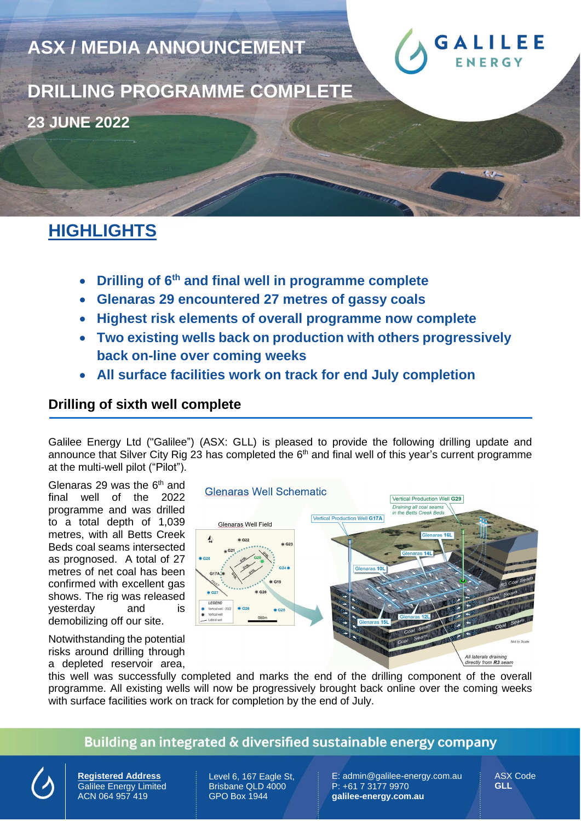

**DRILLING PROGRAMME COMPLETE 23 JUNE 2022** 

**ASX / MEDIA ANNOUNCEMENT** 

# **HIGHLIGHTS**

- **Drilling of 6 th and final well in programme complete**
- **Glenaras 29 encountered 27 metres of gassy coals**
- **Highest risk elements of overall programme now complete**
- **Two existing wells back on production with others progressively back on-line over coming weeks**
- **All surface facilities work on track for end July completion**

### **Drilling of sixth well complete**

Galilee Energy Ltd ("Galilee") (ASX: GLL) is pleased to provide the following drilling update and announce that Silver City Rig 23 has completed the  $6<sup>th</sup>$  and final well of this year's current programme at the multi-well pilot ("Pilot").

Glenaras 29 was the  $6<sup>th</sup>$  and final well of the 2022 programme and was drilled to a total depth of 1,039 metres, with all Betts Creek Beds coal seams intersected as prognosed. A total of 27 metres of net coal has been confirmed with excellent gas shows. The rig was released yesterday and is demobilizing off our site.

Notwithstanding the potential risks around drilling through a depleted reservoir area,



this well was successfully completed and marks the end of the drilling component of the overall programme. All existing wells will now be progressively brought back online over the coming weeks with surface facilities work on track for completion by the end of July.

### Building an integrated & diversified sustainable energy company



**Registered Address** Galilee Energy Limited ACN 064 957 419

Level 6, 167 Eagle St, Brisbane QLD 4000 GPO Box 1944

E: admin@galilee-energy.com.au P: +61 7 3177 9970 **galilee-energy.com.au**

ASX Code **GLL**